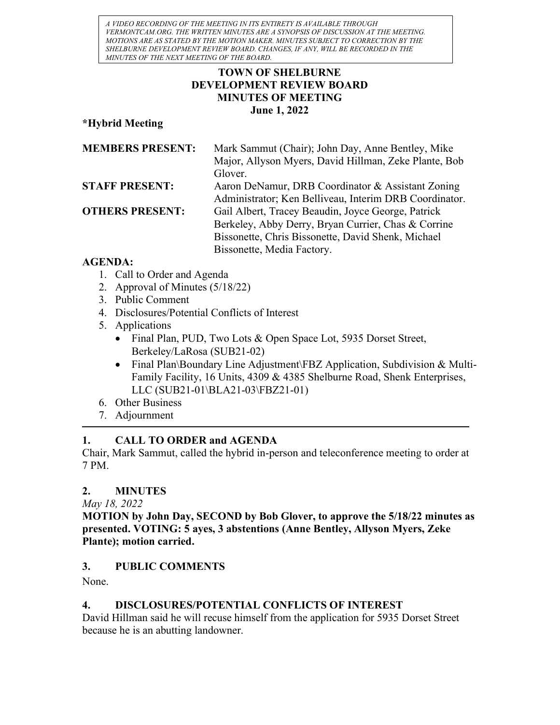A VIDEO RECORDING OF THE MEETING IN ITS ENTIRETY IS AVAILABLE THROUGH VERMONTCAM.ORG. THE WRITTEN MINUTES ARE A SYNOPSIS OF DISCUSSION AT THE MEETING. MOTIONS ARE AS STATED BY THE MOTION MAKER. MINUTES SUBJECT TO CORRECTION BY THE SHELBURNE DEVELOPMENT REVIEW BOARD. CHANGES, IF ANY, WILL BE RECORDED IN THE MINUTES OF THE NEXT MEETING OF THE BOARD.

## TOWN OF SHELBURNE DEVELOPMENT REVIEW BOARD MINUTES OF MEETING June 1, 2022

### \*Hybrid Meeting

| <b>MEMBERS PRESENT:</b> | Mark Sammut (Chair); John Day, Anne Bentley, Mike      |
|-------------------------|--------------------------------------------------------|
|                         | Major, Allyson Myers, David Hillman, Zeke Plante, Bob  |
|                         | Glover.                                                |
| <b>STAFF PRESENT:</b>   | Aaron DeNamur, DRB Coordinator & Assistant Zoning      |
|                         | Administrator; Ken Belliveau, Interim DRB Coordinator. |
| <b>OTHERS PRESENT:</b>  | Gail Albert, Tracey Beaudin, Joyce George, Patrick     |
|                         | Berkeley, Abby Derry, Bryan Currier, Chas & Corrine    |
|                         | Bissonette, Chris Bissonette, David Shenk, Michael     |
|                         | Bissonette, Media Factory.                             |

### AGENDA:

- 1. Call to Order and Agenda
- 2. Approval of Minutes (5/18/22)
- 3. Public Comment
- 4. Disclosures/Potential Conflicts of Interest
- 5. Applications
	- Final Plan, PUD, Two Lots & Open Space Lot, 5935 Dorset Street, Berkeley/LaRosa (SUB21-02)
	- Final Plan\Boundary Line Adjustment\FBZ Application, Subdivision & Multi-Family Facility, 16 Units, 4309 & 4385 Shelburne Road, Shenk Enterprises, LLC (SUB21-01\BLA21-03\FBZ21-01)
- 6. Other Business
- 7. Adjournment

# 1. CALL TO ORDER and AGENDA

Chair, Mark Sammut, called the hybrid in-person and teleconference meeting to order at 7 PM.

# 2. MINUTES

May 18, 2022

MOTION by John Day, SECOND by Bob Glover, to approve the 5/18/22 minutes as presented. VOTING: 5 ayes, 3 abstentions (Anne Bentley, Allyson Myers, Zeke Plante); motion carried.

## 3. PUBLIC COMMENTS

None.

# 4. DISCLOSURES/POTENTIAL CONFLICTS OF INTEREST

David Hillman said he will recuse himself from the application for 5935 Dorset Street because he is an abutting landowner.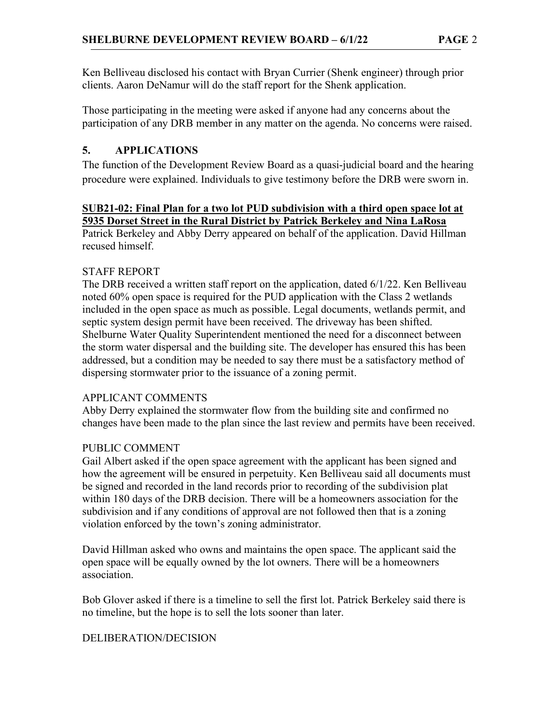Ken Belliveau disclosed his contact with Bryan Currier (Shenk engineer) through prior clients. Aaron DeNamur will do the staff report for the Shenk application.

Those participating in the meeting were asked if anyone had any concerns about the participation of any DRB member in any matter on the agenda. No concerns were raised.

## 5. APPLICATIONS

The function of the Development Review Board as a quasi-judicial board and the hearing procedure were explained. Individuals to give testimony before the DRB were sworn in.

### SUB21-02: Final Plan for a two lot PUD subdivision with a third open space lot at 5935 Dorset Street in the Rural District by Patrick Berkeley and Nina LaRosa

Patrick Berkeley and Abby Derry appeared on behalf of the application. David Hillman recused himself.

## STAFF REPORT

The DRB received a written staff report on the application, dated 6/1/22. Ken Belliveau noted 60% open space is required for the PUD application with the Class 2 wetlands included in the open space as much as possible. Legal documents, wetlands permit, and septic system design permit have been received. The driveway has been shifted. Shelburne Water Quality Superintendent mentioned the need for a disconnect between the storm water dispersal and the building site. The developer has ensured this has been addressed, but a condition may be needed to say there must be a satisfactory method of dispersing stormwater prior to the issuance of a zoning permit.

#### APPLICANT COMMENTS

Abby Derry explained the stormwater flow from the building site and confirmed no changes have been made to the plan since the last review and permits have been received.

## PUBLIC COMMENT

Gail Albert asked if the open space agreement with the applicant has been signed and how the agreement will be ensured in perpetuity. Ken Belliveau said all documents must be signed and recorded in the land records prior to recording of the subdivision plat within 180 days of the DRB decision. There will be a homeowners association for the subdivision and if any conditions of approval are not followed then that is a zoning violation enforced by the town's zoning administrator.

David Hillman asked who owns and maintains the open space. The applicant said the open space will be equally owned by the lot owners. There will be a homeowners association.

Bob Glover asked if there is a timeline to sell the first lot. Patrick Berkeley said there is no timeline, but the hope is to sell the lots sooner than later.

#### DELIBERATION/DECISION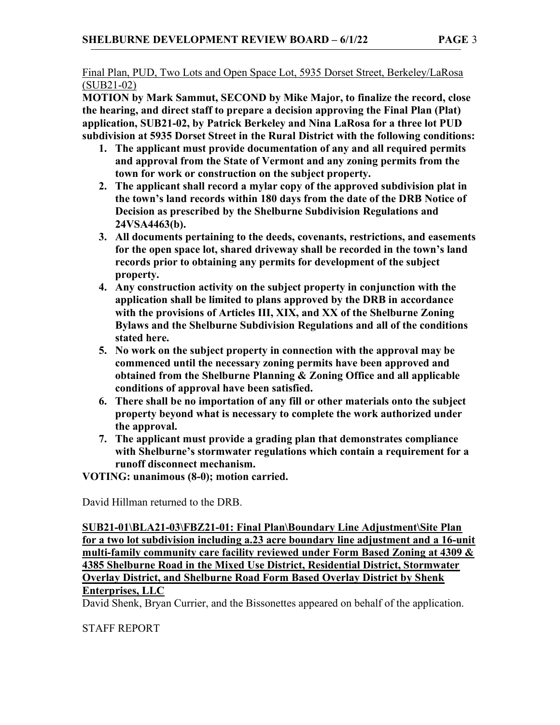MOTION by Mark Sammut, SECOND by Mike Major, to finalize the record, close the hearing, and direct staff to prepare a decision approving the Final Plan (Plat) application, SUB21-02, by Patrick Berkeley and Nina LaRosa for a three lot PUD subdivision at 5935 Dorset Street in the Rural District with the following conditions:

- 1. The applicant must provide documentation of any and all required permits and approval from the State of Vermont and any zoning permits from the town for work or construction on the subject property.
- 2. The applicant shall record a mylar copy of the approved subdivision plat in the town's land records within 180 days from the date of the DRB Notice of Decision as prescribed by the Shelburne Subdivision Regulations and 24VSA4463(b).
- 3. All documents pertaining to the deeds, covenants, restrictions, and easements for the open space lot, shared driveway shall be recorded in the town's land records prior to obtaining any permits for development of the subject property.
- 4. Any construction activity on the subject property in conjunction with the application shall be limited to plans approved by the DRB in accordance with the provisions of Articles III, XIX, and XX of the Shelburne Zoning Bylaws and the Shelburne Subdivision Regulations and all of the conditions stated here.
- 5. No work on the subject property in connection with the approval may be commenced until the necessary zoning permits have been approved and obtained from the Shelburne Planning & Zoning Office and all applicable conditions of approval have been satisfied.
- 6. There shall be no importation of any fill or other materials onto the subject property beyond what is necessary to complete the work authorized under the approval.
- 7. The applicant must provide a grading plan that demonstrates compliance with Shelburne's stormwater regulations which contain a requirement for a runoff disconnect mechanism.

VOTING: unanimous (8-0); motion carried.

David Hillman returned to the DRB.

SUB21-01\BLA21-03\FBZ21-01: Final Plan\Boundary Line Adjustment\Site Plan for a two lot subdivision including a.23 acre boundary line adjustment and a 16-unit multi-family community care facility reviewed under Form Based Zoning at 4309 & 4385 Shelburne Road in the Mixed Use District, Residential District, Stormwater Overlay District, and Shelburne Road Form Based Overlay District by Shenk Enterprises, LLC

David Shenk, Bryan Currier, and the Bissonettes appeared on behalf of the application.

# STAFF REPORT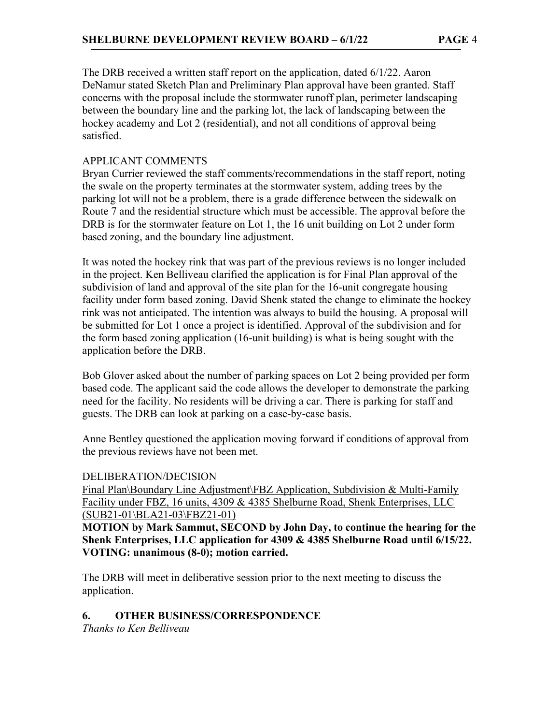The DRB received a written staff report on the application, dated 6/1/22. Aaron DeNamur stated Sketch Plan and Preliminary Plan approval have been granted. Staff concerns with the proposal include the stormwater runoff plan, perimeter landscaping between the boundary line and the parking lot, the lack of landscaping between the hockey academy and Lot 2 (residential), and not all conditions of approval being satisfied.

### APPLICANT COMMENTS

Bryan Currier reviewed the staff comments/recommendations in the staff report, noting the swale on the property terminates at the stormwater system, adding trees by the parking lot will not be a problem, there is a grade difference between the sidewalk on Route 7 and the residential structure which must be accessible. The approval before the DRB is for the stormwater feature on Lot 1, the 16 unit building on Lot 2 under form based zoning, and the boundary line adjustment.

It was noted the hockey rink that was part of the previous reviews is no longer included in the project. Ken Belliveau clarified the application is for Final Plan approval of the subdivision of land and approval of the site plan for the 16-unit congregate housing facility under form based zoning. David Shenk stated the change to eliminate the hockey rink was not anticipated. The intention was always to build the housing. A proposal will be submitted for Lot 1 once a project is identified. Approval of the subdivision and for the form based zoning application (16-unit building) is what is being sought with the application before the DRB.

Bob Glover asked about the number of parking spaces on Lot 2 being provided per form based code. The applicant said the code allows the developer to demonstrate the parking need for the facility. No residents will be driving a car. There is parking for staff and guests. The DRB can look at parking on a case-by-case basis.

Anne Bentley questioned the application moving forward if conditions of approval from the previous reviews have not been met.

#### DELIBERATION/DECISION

Final Plan\Boundary Line Adjustment\FBZ Application, Subdivision & Multi-Family Facility under FBZ, 16 units, 4309 & 4385 Shelburne Road, Shenk Enterprises, LLC (SUB21-01\BLA21-03\FBZ21-01)

MOTION by Mark Sammut, SECOND by John Day, to continue the hearing for the Shenk Enterprises, LLC application for 4309 & 4385 Shelburne Road until 6/15/22. VOTING: unanimous (8-0); motion carried.

The DRB will meet in deliberative session prior to the next meeting to discuss the application.

#### 6. OTHER BUSINESS/CORRESPONDENCE

Thanks to Ken Belliveau